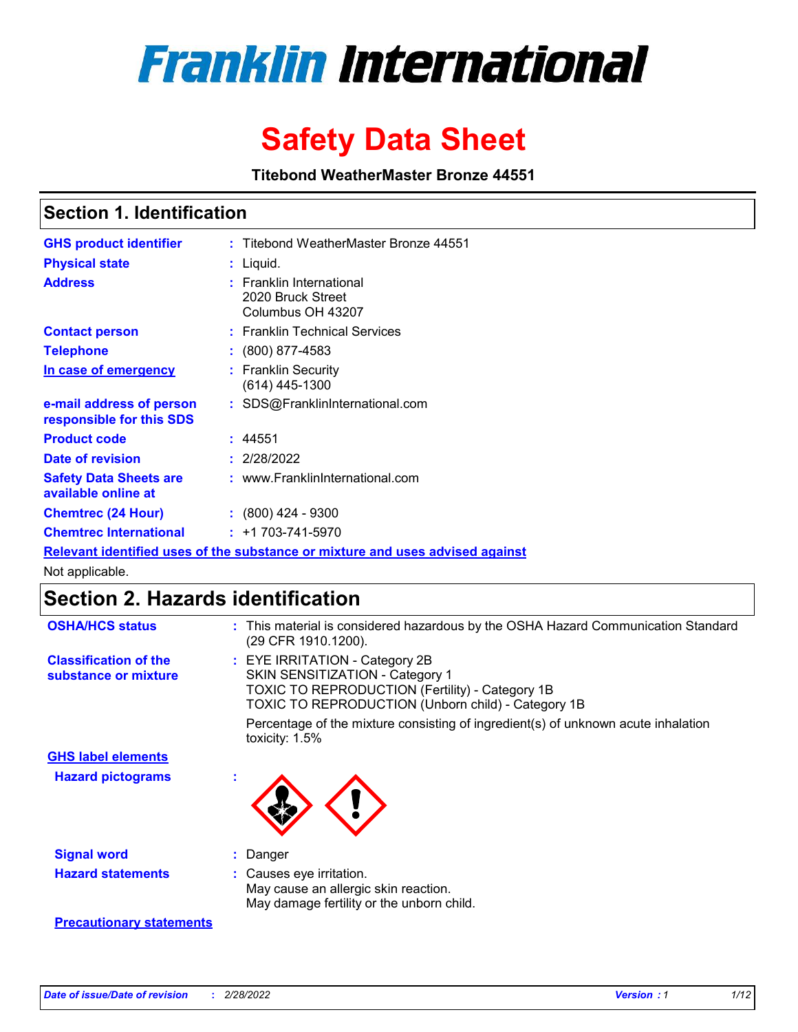

# **Safety Data Sheet**

**Titebond WeatherMaster Bronze 44551**

### **Section 1. Identification**

| <b>GHS product identifier</b>                                                 |  | : Titebond WeatherMaster Bronze 44551                                   |  |  |  |
|-------------------------------------------------------------------------------|--|-------------------------------------------------------------------------|--|--|--|
| <b>Physical state</b>                                                         |  | : Liquid.                                                               |  |  |  |
| <b>Address</b>                                                                |  | <b>Franklin International</b><br>2020 Bruck Street<br>Columbus OH 43207 |  |  |  |
| <b>Contact person</b>                                                         |  | : Franklin Technical Services                                           |  |  |  |
| <b>Telephone</b>                                                              |  | $\colon$ (800) 877-4583                                                 |  |  |  |
| In case of emergency                                                          |  | : Franklin Security<br>(614) 445-1300                                   |  |  |  |
| e-mail address of person<br>responsible for this SDS                          |  | : SDS@FranklinInternational.com                                         |  |  |  |
| <b>Product code</b>                                                           |  | : 44551                                                                 |  |  |  |
| Date of revision                                                              |  | : 2/28/2022                                                             |  |  |  |
| <b>Safety Data Sheets are</b><br>available online at                          |  | : www.FranklinInternational.com                                         |  |  |  |
| <b>Chemtrec (24 Hour)</b>                                                     |  | $: (800)$ 424 - 9300                                                    |  |  |  |
| <b>Chemtrec International</b>                                                 |  | $: +1703 - 741 - 5970$                                                  |  |  |  |
| Relevant identified uses of the substance or mixture and uses advised against |  |                                                                         |  |  |  |

Not applicable.

## **Section 2. Hazards identification**

| <b>OSHA/HCS status</b>                               | : This material is considered hazardous by the OSHA Hazard Communication Standard<br>(29 CFR 1910.1200).                                                                                 |
|------------------------------------------------------|------------------------------------------------------------------------------------------------------------------------------------------------------------------------------------------|
| <b>Classification of the</b><br>substance or mixture | : EYE IRRITATION - Category 2B<br>SKIN SENSITIZATION - Category 1<br><b>TOXIC TO REPRODUCTION (Fertility) - Category 1B</b><br><b>TOXIC TO REPRODUCTION (Unborn child) - Category 1B</b> |
|                                                      | Percentage of the mixture consisting of ingredient(s) of unknown acute inhalation<br>toxicity: $1.5\%$                                                                                   |
| <b>GHS label elements</b>                            |                                                                                                                                                                                          |
| <b>Hazard pictograms</b>                             |                                                                                                                                                                                          |
| <b>Signal word</b>                                   | : Danger                                                                                                                                                                                 |
| <b>Hazard statements</b>                             | : Causes eye irritation.<br>May cause an allergic skin reaction.<br>May damage fertility or the unborn child.                                                                            |
| <b>Precautionary statements</b>                      |                                                                                                                                                                                          |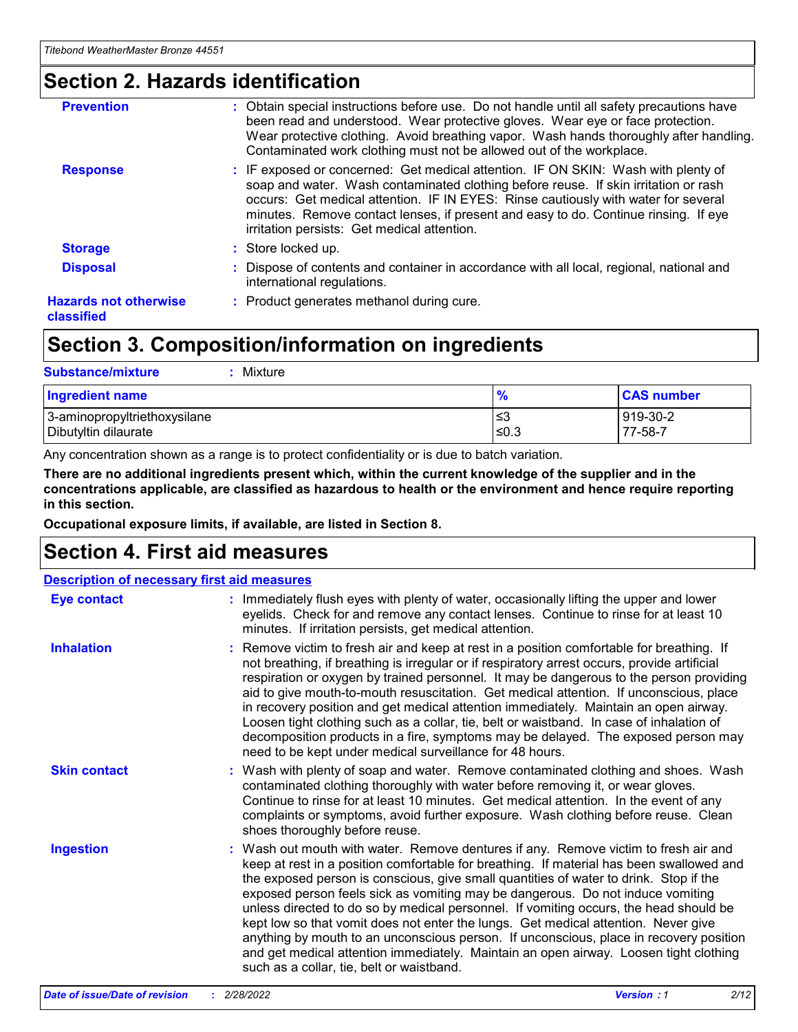### **Section 2. Hazards identification**

| <b>Prevention</b>                          | : Obtain special instructions before use. Do not handle until all safety precautions have<br>been read and understood. Wear protective gloves. Wear eye or face protection.<br>Wear protective clothing. Avoid breathing vapor. Wash hands thoroughly after handling.<br>Contaminated work clothing must not be allowed out of the workplace.                                                        |
|--------------------------------------------|------------------------------------------------------------------------------------------------------------------------------------------------------------------------------------------------------------------------------------------------------------------------------------------------------------------------------------------------------------------------------------------------------|
| <b>Response</b>                            | : IF exposed or concerned: Get medical attention. IF ON SKIN: Wash with plenty of<br>soap and water. Wash contaminated clothing before reuse. If skin irritation or rash<br>occurs: Get medical attention. IF IN EYES: Rinse cautiously with water for several<br>minutes. Remove contact lenses, if present and easy to do. Continue rinsing. If eye<br>irritation persists: Get medical attention. |
| <b>Storage</b>                             | : Store locked up.                                                                                                                                                                                                                                                                                                                                                                                   |
| <b>Disposal</b>                            | : Dispose of contents and container in accordance with all local, regional, national and<br>international regulations.                                                                                                                                                                                                                                                                               |
| <b>Hazards not otherwise</b><br>classified | : Product generates methanol during cure.                                                                                                                                                                                                                                                                                                                                                            |

### **Section 3. Composition/information on ingredients**

| <b>Substance/mixture</b><br>Mixture                  |                   |                     |
|------------------------------------------------------|-------------------|---------------------|
| <b>Ingredient name</b>                               | $\frac{9}{6}$     | <b>CAS number</b>   |
| 3-aminopropyltriethoxysilane<br>Dibutyltin dilaurate | l≤3<br>$\leq 0.3$ | 919-30-2<br>77-58-7 |

Any concentration shown as a range is to protect confidentiality or is due to batch variation.

**There are no additional ingredients present which, within the current knowledge of the supplier and in the concentrations applicable, are classified as hazardous to health or the environment and hence require reporting in this section.**

**Occupational exposure limits, if available, are listed in Section 8.**

### **Section 4. First aid measures**

| <b>Description of necessary first aid measures</b> |                                                                                                                                                                                                                                                                                                                                                                                                                                                                                                                                                                                                                                                                                                                                                                           |  |  |  |
|----------------------------------------------------|---------------------------------------------------------------------------------------------------------------------------------------------------------------------------------------------------------------------------------------------------------------------------------------------------------------------------------------------------------------------------------------------------------------------------------------------------------------------------------------------------------------------------------------------------------------------------------------------------------------------------------------------------------------------------------------------------------------------------------------------------------------------------|--|--|--|
| <b>Eye contact</b>                                 | : Immediately flush eyes with plenty of water, occasionally lifting the upper and lower<br>eyelids. Check for and remove any contact lenses. Continue to rinse for at least 10<br>minutes. If irritation persists, get medical attention.                                                                                                                                                                                                                                                                                                                                                                                                                                                                                                                                 |  |  |  |
| <b>Inhalation</b>                                  | : Remove victim to fresh air and keep at rest in a position comfortable for breathing. If<br>not breathing, if breathing is irregular or if respiratory arrest occurs, provide artificial<br>respiration or oxygen by trained personnel. It may be dangerous to the person providing<br>aid to give mouth-to-mouth resuscitation. Get medical attention. If unconscious, place<br>in recovery position and get medical attention immediately. Maintain an open airway.<br>Loosen tight clothing such as a collar, tie, belt or waistband. In case of inhalation of<br>decomposition products in a fire, symptoms may be delayed. The exposed person may<br>need to be kept under medical surveillance for 48 hours.                                                       |  |  |  |
| <b>Skin contact</b>                                | : Wash with plenty of soap and water. Remove contaminated clothing and shoes. Wash<br>contaminated clothing thoroughly with water before removing it, or wear gloves.<br>Continue to rinse for at least 10 minutes. Get medical attention. In the event of any<br>complaints or symptoms, avoid further exposure. Wash clothing before reuse. Clean<br>shoes thoroughly before reuse.                                                                                                                                                                                                                                                                                                                                                                                     |  |  |  |
| <b>Ingestion</b>                                   | : Wash out mouth with water. Remove dentures if any. Remove victim to fresh air and<br>keep at rest in a position comfortable for breathing. If material has been swallowed and<br>the exposed person is conscious, give small quantities of water to drink. Stop if the<br>exposed person feels sick as vomiting may be dangerous. Do not induce vomiting<br>unless directed to do so by medical personnel. If vomiting occurs, the head should be<br>kept low so that vomit does not enter the lungs. Get medical attention. Never give<br>anything by mouth to an unconscious person. If unconscious, place in recovery position<br>and get medical attention immediately. Maintain an open airway. Loosen tight clothing<br>such as a collar, tie, belt or waistband. |  |  |  |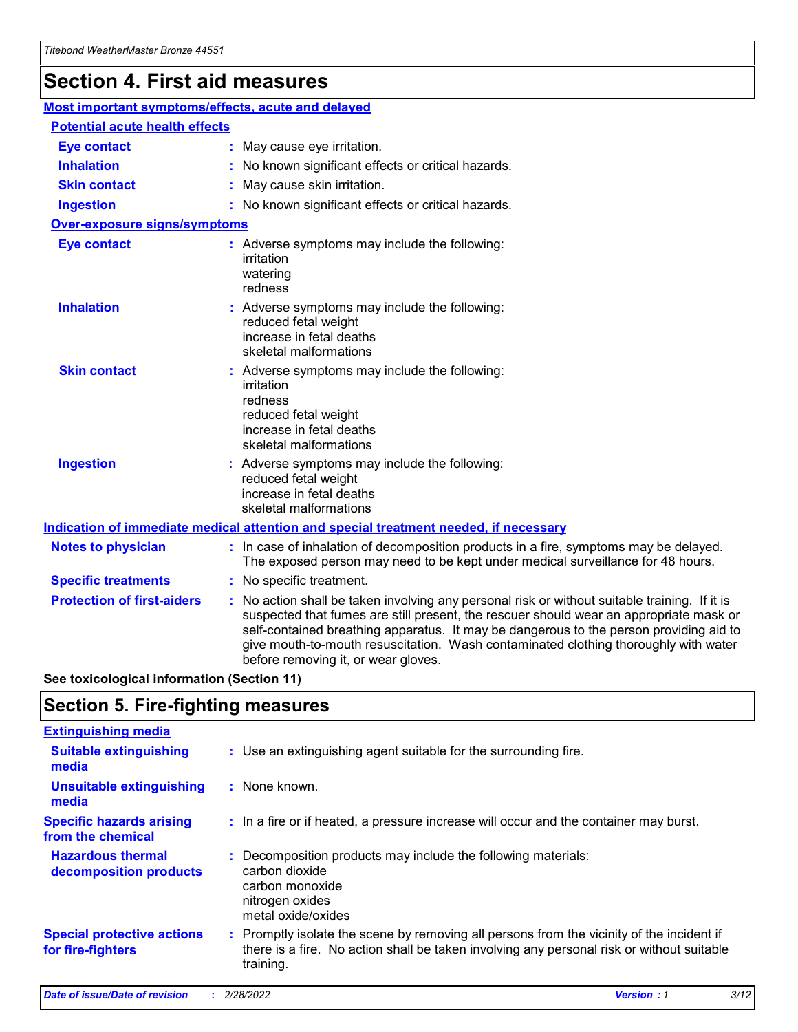## **Section 4. First aid measures**

| Most important symptoms/effects, acute and delayed |  |                                                                                                                                                                                                                                                                                                                                                                                                                 |  |  |
|----------------------------------------------------|--|-----------------------------------------------------------------------------------------------------------------------------------------------------------------------------------------------------------------------------------------------------------------------------------------------------------------------------------------------------------------------------------------------------------------|--|--|
| <b>Potential acute health effects</b>              |  |                                                                                                                                                                                                                                                                                                                                                                                                                 |  |  |
| Eye contact                                        |  | : May cause eye irritation.                                                                                                                                                                                                                                                                                                                                                                                     |  |  |
| <b>Inhalation</b>                                  |  | : No known significant effects or critical hazards.                                                                                                                                                                                                                                                                                                                                                             |  |  |
| <b>Skin contact</b>                                |  | : May cause skin irritation.                                                                                                                                                                                                                                                                                                                                                                                    |  |  |
| <b>Ingestion</b>                                   |  | : No known significant effects or critical hazards.                                                                                                                                                                                                                                                                                                                                                             |  |  |
| Over-exposure signs/symptoms                       |  |                                                                                                                                                                                                                                                                                                                                                                                                                 |  |  |
| <b>Eye contact</b>                                 |  | : Adverse symptoms may include the following:<br>irritation<br>watering<br>redness                                                                                                                                                                                                                                                                                                                              |  |  |
| <b>Inhalation</b>                                  |  | : Adverse symptoms may include the following:<br>reduced fetal weight<br>increase in fetal deaths<br>skeletal malformations                                                                                                                                                                                                                                                                                     |  |  |
| <b>Skin contact</b>                                |  | : Adverse symptoms may include the following:<br>irritation<br>redness<br>reduced fetal weight<br>increase in fetal deaths<br>skeletal malformations                                                                                                                                                                                                                                                            |  |  |
| <b>Ingestion</b>                                   |  | : Adverse symptoms may include the following:<br>reduced fetal weight<br>increase in fetal deaths<br>skeletal malformations                                                                                                                                                                                                                                                                                     |  |  |
|                                                    |  | <b>Indication of immediate medical attention and special treatment needed, if necessary</b>                                                                                                                                                                                                                                                                                                                     |  |  |
| <b>Notes to physician</b>                          |  | : In case of inhalation of decomposition products in a fire, symptoms may be delayed.<br>The exposed person may need to be kept under medical surveillance for 48 hours.                                                                                                                                                                                                                                        |  |  |
| <b>Specific treatments</b>                         |  | : No specific treatment.                                                                                                                                                                                                                                                                                                                                                                                        |  |  |
| <b>Protection of first-aiders</b>                  |  | : No action shall be taken involving any personal risk or without suitable training. If it is<br>suspected that fumes are still present, the rescuer should wear an appropriate mask or<br>self-contained breathing apparatus. It may be dangerous to the person providing aid to<br>give mouth-to-mouth resuscitation. Wash contaminated clothing thoroughly with water<br>before removing it, or wear gloves. |  |  |

**See toxicological information (Section 11)**

### **Section 5. Fire-fighting measures**

| <b>Extinguishing media</b>                             |                                                                                                                                                                                                     |
|--------------------------------------------------------|-----------------------------------------------------------------------------------------------------------------------------------------------------------------------------------------------------|
| <b>Suitable extinguishing</b><br>media                 | : Use an extinguishing agent suitable for the surrounding fire.                                                                                                                                     |
| <b>Unsuitable extinguishing</b><br>media               | : None known.                                                                                                                                                                                       |
| <b>Specific hazards arising</b><br>from the chemical   | : In a fire or if heated, a pressure increase will occur and the container may burst.                                                                                                               |
| <b>Hazardous thermal</b><br>decomposition products     | : Decomposition products may include the following materials:<br>carbon dioxide<br>carbon monoxide<br>nitrogen oxides<br>metal oxide/oxides                                                         |
| <b>Special protective actions</b><br>for fire-fighters | : Promptly isolate the scene by removing all persons from the vicinity of the incident if<br>there is a fire. No action shall be taken involving any personal risk or without suitable<br>training. |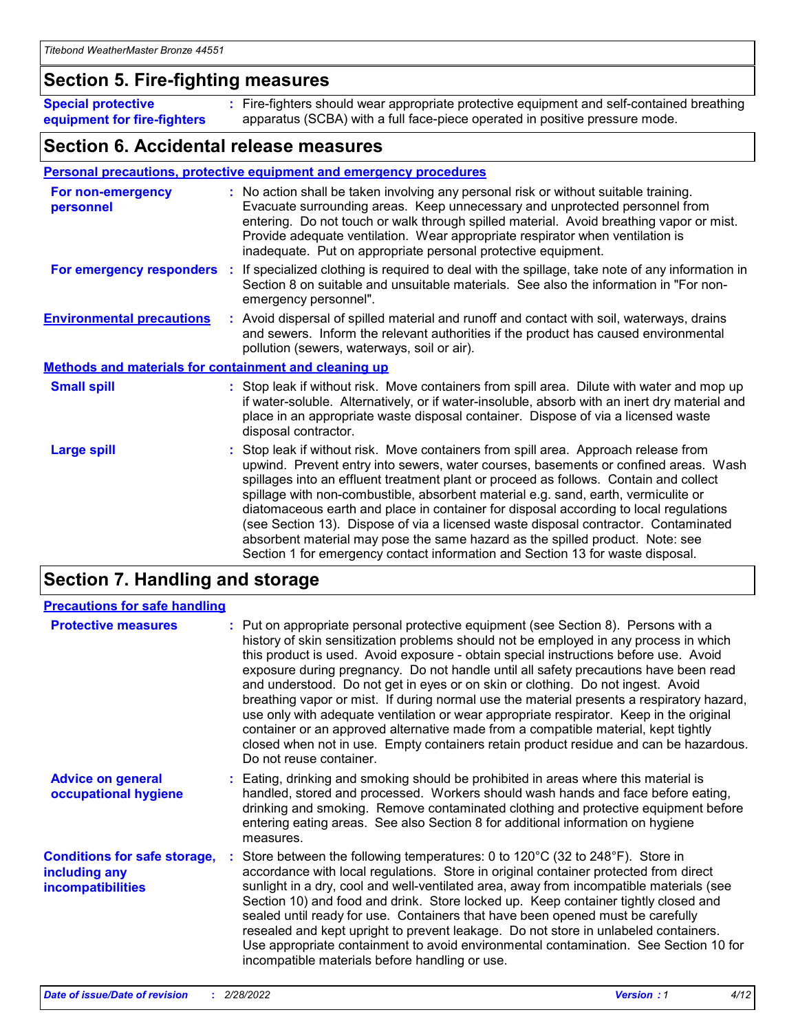### **Section 5. Fire-fighting measures**

**Special protective equipment for fire-fighters** Fire-fighters should wear appropriate protective equipment and self-contained breathing **:** apparatus (SCBA) with a full face-piece operated in positive pressure mode.

### **Section 6. Accidental release measures**

#### **Personal precautions, protective equipment and emergency procedures**

| For non-emergency<br>personnel   |                                                              | : No action shall be taken involving any personal risk or without suitable training.<br>Evacuate surrounding areas. Keep unnecessary and unprotected personnel from<br>entering. Do not touch or walk through spilled material. Avoid breathing vapor or mist.<br>Provide adequate ventilation. Wear appropriate respirator when ventilation is<br>inadequate. Put on appropriate personal protective equipment.                                                                                                                                                                                                                                                                                             |  |  |  |
|----------------------------------|--------------------------------------------------------------|--------------------------------------------------------------------------------------------------------------------------------------------------------------------------------------------------------------------------------------------------------------------------------------------------------------------------------------------------------------------------------------------------------------------------------------------------------------------------------------------------------------------------------------------------------------------------------------------------------------------------------------------------------------------------------------------------------------|--|--|--|
|                                  |                                                              | For emergency responders : If specialized clothing is required to deal with the spillage, take note of any information in<br>Section 8 on suitable and unsuitable materials. See also the information in "For non-<br>emergency personnel".                                                                                                                                                                                                                                                                                                                                                                                                                                                                  |  |  |  |
| <b>Environmental precautions</b> |                                                              | : Avoid dispersal of spilled material and runoff and contact with soil, waterways, drains<br>and sewers. Inform the relevant authorities if the product has caused environmental<br>pollution (sewers, waterways, soil or air).                                                                                                                                                                                                                                                                                                                                                                                                                                                                              |  |  |  |
|                                  | <b>Methods and materials for containment and cleaning up</b> |                                                                                                                                                                                                                                                                                                                                                                                                                                                                                                                                                                                                                                                                                                              |  |  |  |
| <b>Small spill</b>               |                                                              | : Stop leak if without risk. Move containers from spill area. Dilute with water and mop up<br>if water-soluble. Alternatively, or if water-insoluble, absorb with an inert dry material and<br>place in an appropriate waste disposal container. Dispose of via a licensed waste<br>disposal contractor.                                                                                                                                                                                                                                                                                                                                                                                                     |  |  |  |
| <b>Large spill</b>               |                                                              | : Stop leak if without risk. Move containers from spill area. Approach release from<br>upwind. Prevent entry into sewers, water courses, basements or confined areas. Wash<br>spillages into an effluent treatment plant or proceed as follows. Contain and collect<br>spillage with non-combustible, absorbent material e.g. sand, earth, vermiculite or<br>diatomaceous earth and place in container for disposal according to local regulations<br>(see Section 13). Dispose of via a licensed waste disposal contractor. Contaminated<br>absorbent material may pose the same hazard as the spilled product. Note: see<br>Section 1 for emergency contact information and Section 13 for waste disposal. |  |  |  |

### **Section 7. Handling and storage**

| <b>Precautions for safe handling</b>                                             |                                                                                                                                                                                                                                                                                                                                                                                                                                                                                                                                                                                                                                                                                                                                                                                                                                                  |
|----------------------------------------------------------------------------------|--------------------------------------------------------------------------------------------------------------------------------------------------------------------------------------------------------------------------------------------------------------------------------------------------------------------------------------------------------------------------------------------------------------------------------------------------------------------------------------------------------------------------------------------------------------------------------------------------------------------------------------------------------------------------------------------------------------------------------------------------------------------------------------------------------------------------------------------------|
| <b>Protective measures</b>                                                       | : Put on appropriate personal protective equipment (see Section 8). Persons with a<br>history of skin sensitization problems should not be employed in any process in which<br>this product is used. Avoid exposure - obtain special instructions before use. Avoid<br>exposure during pregnancy. Do not handle until all safety precautions have been read<br>and understood. Do not get in eyes or on skin or clothing. Do not ingest. Avoid<br>breathing vapor or mist. If during normal use the material presents a respiratory hazard,<br>use only with adequate ventilation or wear appropriate respirator. Keep in the original<br>container or an approved alternative made from a compatible material, kept tightly<br>closed when not in use. Empty containers retain product residue and can be hazardous.<br>Do not reuse container. |
| <b>Advice on general</b><br>occupational hygiene                                 | : Eating, drinking and smoking should be prohibited in areas where this material is<br>handled, stored and processed. Workers should wash hands and face before eating,<br>drinking and smoking. Remove contaminated clothing and protective equipment before<br>entering eating areas. See also Section 8 for additional information on hygiene<br>measures.                                                                                                                                                                                                                                                                                                                                                                                                                                                                                    |
| <b>Conditions for safe storage,</b><br>including any<br><b>incompatibilities</b> | Store between the following temperatures: 0 to 120°C (32 to 248°F). Store in<br>accordance with local regulations. Store in original container protected from direct<br>sunlight in a dry, cool and well-ventilated area, away from incompatible materials (see<br>Section 10) and food and drink. Store locked up. Keep container tightly closed and<br>sealed until ready for use. Containers that have been opened must be carefully<br>resealed and kept upright to prevent leakage. Do not store in unlabeled containers.<br>Use appropriate containment to avoid environmental contamination. See Section 10 for<br>incompatible materials before handling or use.                                                                                                                                                                         |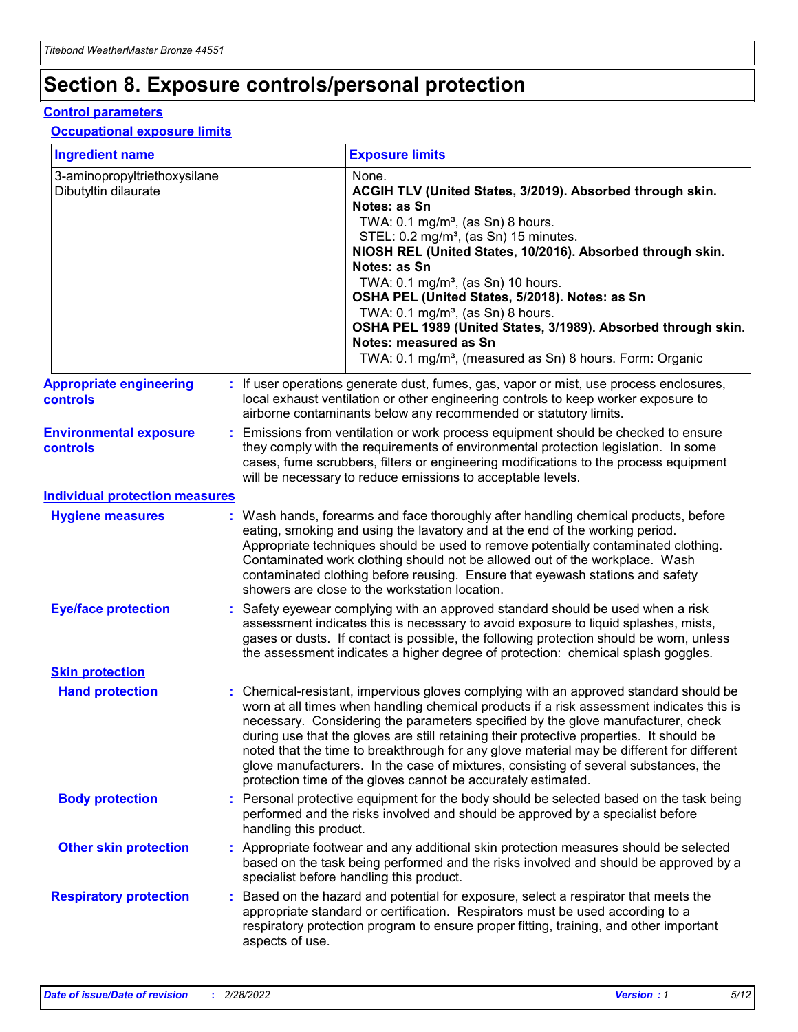## **Section 8. Exposure controls/personal protection**

#### **Control parameters**

#### **Occupational exposure limits**

| <b>Ingredient name</b>                               |                        | <b>Exposure limits</b>                                                                                                                                                                                                                                                                                                                                                                                                                                                                                                                                                                                                 |
|------------------------------------------------------|------------------------|------------------------------------------------------------------------------------------------------------------------------------------------------------------------------------------------------------------------------------------------------------------------------------------------------------------------------------------------------------------------------------------------------------------------------------------------------------------------------------------------------------------------------------------------------------------------------------------------------------------------|
| 3-aminopropyltriethoxysilane<br>Dibutyltin dilaurate |                        | None.<br>ACGIH TLV (United States, 3/2019). Absorbed through skin.<br>Notes: as Sn<br>TWA: 0.1 mg/m <sup>3</sup> , (as Sn) 8 hours.<br>STEL: 0.2 mg/m <sup>3</sup> , (as Sn) 15 minutes.<br>NIOSH REL (United States, 10/2016). Absorbed through skin.<br>Notes: as Sn<br>TWA: 0.1 mg/m <sup>3</sup> , (as Sn) 10 hours.<br>OSHA PEL (United States, 5/2018). Notes: as Sn<br>TWA: $0.1 \text{ mg/m}^3$ , (as Sn) 8 hours.<br>OSHA PEL 1989 (United States, 3/1989). Absorbed through skin.<br>Notes: measured as Sn<br>TWA: 0.1 mg/m <sup>3</sup> , (measured as Sn) 8 hours. Form: Organic                           |
| <b>Appropriate engineering</b><br><b>controls</b>    |                        | : If user operations generate dust, fumes, gas, vapor or mist, use process enclosures,<br>local exhaust ventilation or other engineering controls to keep worker exposure to<br>airborne contaminants below any recommended or statutory limits.                                                                                                                                                                                                                                                                                                                                                                       |
| <b>Environmental exposure</b><br><b>controls</b>     |                        | Emissions from ventilation or work process equipment should be checked to ensure<br>they comply with the requirements of environmental protection legislation. In some<br>cases, fume scrubbers, filters or engineering modifications to the process equipment<br>will be necessary to reduce emissions to acceptable levels.                                                                                                                                                                                                                                                                                          |
| <b>Individual protection measures</b>                |                        |                                                                                                                                                                                                                                                                                                                                                                                                                                                                                                                                                                                                                        |
| <b>Hygiene measures</b>                              |                        | : Wash hands, forearms and face thoroughly after handling chemical products, before<br>eating, smoking and using the lavatory and at the end of the working period.<br>Appropriate techniques should be used to remove potentially contaminated clothing.<br>Contaminated work clothing should not be allowed out of the workplace. Wash<br>contaminated clothing before reusing. Ensure that eyewash stations and safety<br>showers are close to the workstation location.                                                                                                                                            |
| <b>Eye/face protection</b>                           |                        | : Safety eyewear complying with an approved standard should be used when a risk<br>assessment indicates this is necessary to avoid exposure to liquid splashes, mists,<br>gases or dusts. If contact is possible, the following protection should be worn, unless<br>the assessment indicates a higher degree of protection: chemical splash goggles.                                                                                                                                                                                                                                                                  |
| <b>Skin protection</b>                               |                        |                                                                                                                                                                                                                                                                                                                                                                                                                                                                                                                                                                                                                        |
| <b>Hand protection</b>                               |                        | : Chemical-resistant, impervious gloves complying with an approved standard should be<br>worn at all times when handling chemical products if a risk assessment indicates this is<br>necessary. Considering the parameters specified by the glove manufacturer, check<br>during use that the gloves are still retaining their protective properties. It should be<br>noted that the time to breakthrough for any glove material may be different for different<br>glove manufacturers. In the case of mixtures, consisting of several substances, the<br>protection time of the gloves cannot be accurately estimated. |
| <b>Body protection</b>                               | handling this product. | : Personal protective equipment for the body should be selected based on the task being<br>performed and the risks involved and should be approved by a specialist before                                                                                                                                                                                                                                                                                                                                                                                                                                              |
| <b>Other skin protection</b>                         |                        | : Appropriate footwear and any additional skin protection measures should be selected<br>based on the task being performed and the risks involved and should be approved by a<br>specialist before handling this product.                                                                                                                                                                                                                                                                                                                                                                                              |
| <b>Respiratory protection</b>                        | aspects of use.        | : Based on the hazard and potential for exposure, select a respirator that meets the<br>appropriate standard or certification. Respirators must be used according to a<br>respiratory protection program to ensure proper fitting, training, and other important                                                                                                                                                                                                                                                                                                                                                       |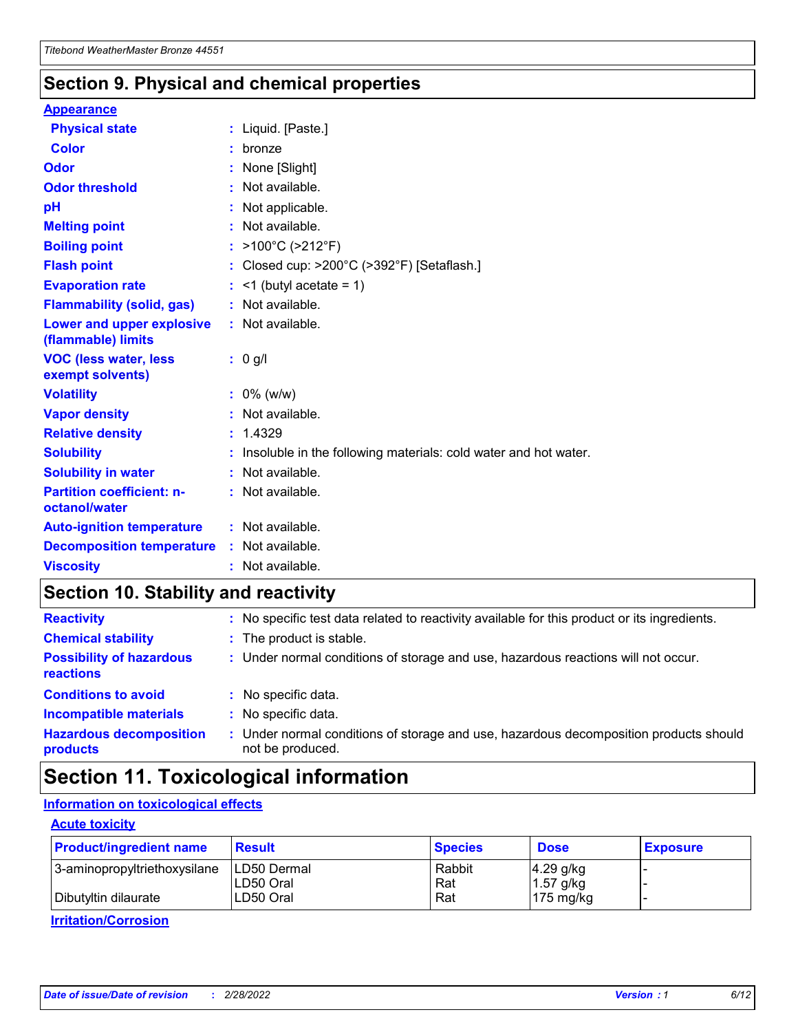### **Section 9. Physical and chemical properties**

#### **Appearance**

| <b>Physical state</b>                             | : Liquid. [Paste.]                                              |
|---------------------------------------------------|-----------------------------------------------------------------|
| <b>Color</b>                                      | bronze                                                          |
| Odor                                              | None [Slight]                                                   |
| <b>Odor threshold</b>                             | : Not available.                                                |
| рH                                                | : Not applicable.                                               |
| <b>Melting point</b>                              | : Not available.                                                |
| <b>Boiling point</b>                              | : >100°C (>212°F)                                               |
| <b>Flash point</b>                                | : Closed cup: $>200^{\circ}$ C ( $>392^{\circ}$ F) [Setaflash.] |
| <b>Evaporation rate</b>                           | $:$ <1 (butyl acetate = 1)                                      |
| <b>Flammability (solid, gas)</b>                  | : Not available.                                                |
| Lower and upper explosive<br>(flammable) limits   | : Not available.                                                |
| <b>VOC (less water, less</b><br>exempt solvents)  | $: 0$ g/l                                                       |
| <b>Volatility</b>                                 | $: 0\%$ (w/w)                                                   |
| <b>Vapor density</b>                              | : Not available.                                                |
| <b>Relative density</b>                           | : 1.4329                                                        |
| <b>Solubility</b>                                 | Insoluble in the following materials: cold water and hot water. |
| <b>Solubility in water</b>                        | : Not available.                                                |
| <b>Partition coefficient: n-</b><br>octanol/water | : Not available.                                                |
| <b>Auto-ignition temperature</b>                  | : Not available.                                                |
|                                                   |                                                                 |
| <b>Decomposition temperature</b>                  | : Not available.                                                |

### **Section 10. Stability and reactivity**

| <b>Reactivity</b>                            | : No specific test data related to reactivity available for this product or its ingredients.            |
|----------------------------------------------|---------------------------------------------------------------------------------------------------------|
| <b>Chemical stability</b>                    | : The product is stable.                                                                                |
| <b>Possibility of hazardous</b><br>reactions | : Under normal conditions of storage and use, hazardous reactions will not occur.                       |
| <b>Conditions to avoid</b>                   | : No specific data.                                                                                     |
| <b>Incompatible materials</b>                | : No specific data.                                                                                     |
| <b>Hazardous decomposition</b><br>products   | Under normal conditions of storage and use, hazardous decomposition products should<br>not be produced. |

## **Section 11. Toxicological information**

### **Information on toxicological effects**

#### **Acute toxicity**

| <b>Product/ingredient name</b> | <b>Result</b> | <b>Species</b> | <b>Dose</b>         | <b>Exposure</b> |
|--------------------------------|---------------|----------------|---------------------|-----------------|
| 3-aminopropyltriethoxysilane   | ILD50 Dermal  | Rabbit         | $4.29$ g/kg         |                 |
|                                | ILD50 Oral    | Rat            | $1.57$ g/kg         |                 |
| Dibutyltin dilaurate           | LD50 Oral     | Rat            | $175 \text{ mg/kg}$ |                 |

**Irritation/Corrosion**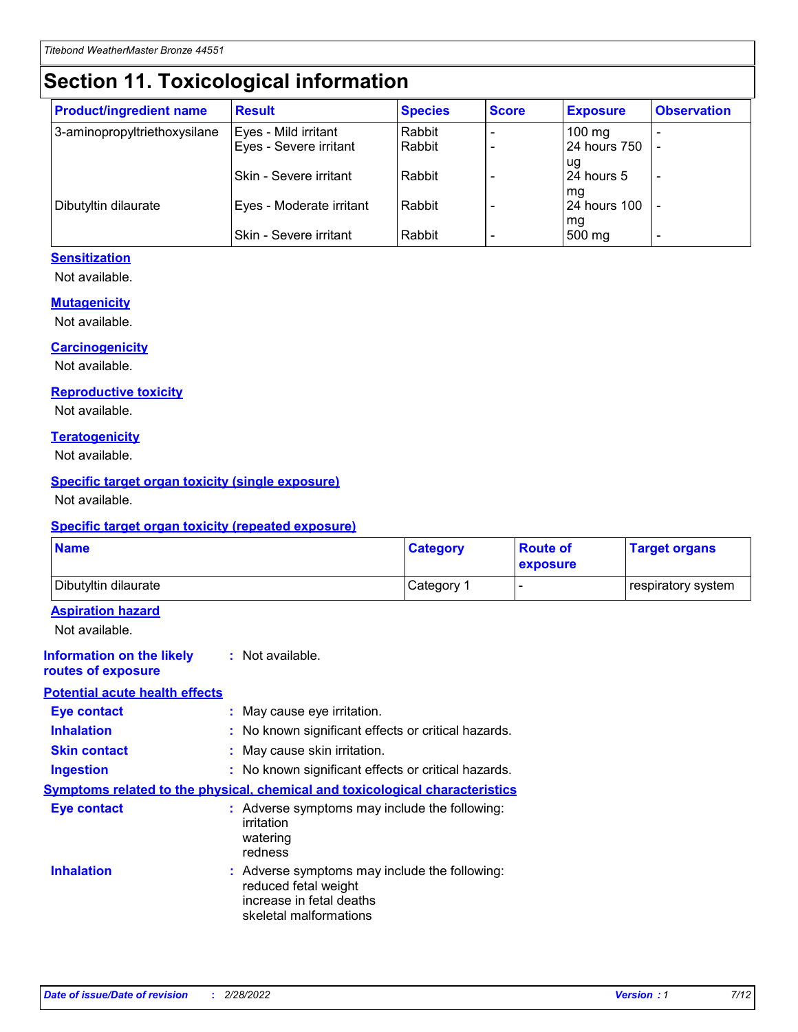# **Section 11. Toxicological information**

| <b>Product/ingredient name</b> | <b>Result</b>                 | <b>Species</b> | <b>Score</b> | <b>Exposure</b>    | <b>Observation</b> |
|--------------------------------|-------------------------------|----------------|--------------|--------------------|--------------------|
| 3-aminopropyltriethoxysilane   | Eyes - Mild irritant          | Rabbit         |              | $100$ mg           |                    |
|                                | Eyes - Severe irritant        | Rabbit         |              | 24 hours 750       |                    |
|                                |                               |                |              | ug                 |                    |
|                                | <b>Skin - Severe irritant</b> | Rabbit         |              | 24 hours 5         | ۰                  |
| Dibutyltin dilaurate           | Eyes - Moderate irritant      | Rabbit         |              | mq<br>24 hours 100 |                    |
|                                |                               |                |              | mg                 |                    |
|                                | Skin - Severe irritant        | Rabbit         |              | 500 mg             |                    |

#### **Sensitization**

Not available.

#### **Mutagenicity**

Not available.

#### **Carcinogenicity**

Not available.

#### **Reproductive toxicity**

Not available.

#### **Teratogenicity**

Not available.

#### **Specific target organ toxicity (single exposure)**

Not available.

#### **Specific target organ toxicity (repeated exposure)**

| <b>Name</b>                                                                  |                                                                            | <b>Category</b>                                     | <b>Route of</b><br>exposure | <b>Target organs</b> |
|------------------------------------------------------------------------------|----------------------------------------------------------------------------|-----------------------------------------------------|-----------------------------|----------------------|
| Dibutyltin dilaurate                                                         |                                                                            | Category 1                                          | -                           | respiratory system   |
| <b>Aspiration hazard</b><br>Not available.                                   |                                                                            |                                                     |                             |                      |
| <b>Information on the likely</b><br>routes of exposure                       | : Not available.                                                           |                                                     |                             |                      |
| <b>Potential acute health effects</b>                                        |                                                                            |                                                     |                             |                      |
| <b>Eye contact</b>                                                           | : May cause eye irritation.                                                |                                                     |                             |                      |
| <b>Inhalation</b>                                                            |                                                                            | : No known significant effects or critical hazards. |                             |                      |
| <b>Skin contact</b>                                                          | : May cause skin irritation.                                               |                                                     |                             |                      |
| <b>Ingestion</b>                                                             |                                                                            | : No known significant effects or critical hazards. |                             |                      |
| Symptoms related to the physical, chemical and toxicological characteristics |                                                                            |                                                     |                             |                      |
| <b>Eye contact</b>                                                           | irritation<br>watering<br>redness                                          | : Adverse symptoms may include the following:       |                             |                      |
| <b>Inhalation</b>                                                            | reduced fetal weight<br>increase in fetal deaths<br>skeletal malformations | : Adverse symptoms may include the following:       |                             |                      |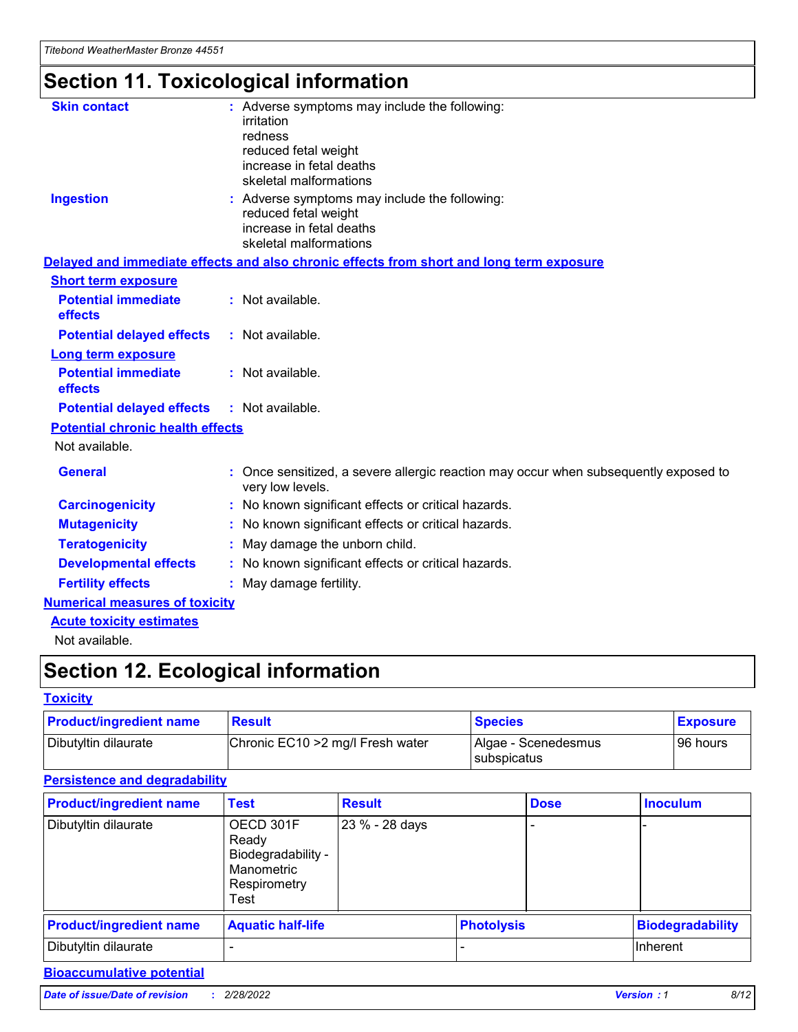# **Section 11. Toxicological information**

| <b>Skin contact</b>                     | : Adverse symptoms may include the following:<br>irritation<br>redness<br>reduced fetal weight<br>increase in fetal deaths<br>skeletal malformations |
|-----------------------------------------|------------------------------------------------------------------------------------------------------------------------------------------------------|
| <b>Ingestion</b>                        | : Adverse symptoms may include the following:<br>reduced fetal weight<br>increase in fetal deaths<br>skeletal malformations                          |
|                                         | Delayed and immediate effects and also chronic effects from short and long term exposure                                                             |
| <b>Short term exposure</b>              |                                                                                                                                                      |
| <b>Potential immediate</b><br>effects   | : Not available.                                                                                                                                     |
| <b>Potential delayed effects</b>        | : Not available.                                                                                                                                     |
| <b>Long term exposure</b>               |                                                                                                                                                      |
| <b>Potential immediate</b><br>effects   | : Not available.                                                                                                                                     |
| <b>Potential delayed effects</b>        | : Not available.                                                                                                                                     |
| <b>Potential chronic health effects</b> |                                                                                                                                                      |
| Not available.                          |                                                                                                                                                      |
| <b>General</b>                          | : Once sensitized, a severe allergic reaction may occur when subsequently exposed to<br>very low levels.                                             |
| <b>Carcinogenicity</b>                  | : No known significant effects or critical hazards.                                                                                                  |
| <b>Mutagenicity</b>                     | No known significant effects or critical hazards.                                                                                                    |
| <b>Teratogenicity</b>                   | May damage the unborn child.                                                                                                                         |
| <b>Developmental effects</b>            | No known significant effects or critical hazards.                                                                                                    |
| <b>Fertility effects</b>                | : May damage fertility.                                                                                                                              |
| <b>Numerical measures of toxicity</b>   |                                                                                                                                                      |
| <b>Acute toxicity estimates</b>         |                                                                                                                                                      |
|                                         |                                                                                                                                                      |

Not available.

## **Section 12. Ecological information**

#### **Toxicity**

| <b>Product/ingredient name</b> | <b>Result</b>                     | <b>Species</b>                       | <b>Exposure</b> |
|--------------------------------|-----------------------------------|--------------------------------------|-----------------|
| Dibutyltin dilaurate           | Chronic EC10 > 2 mg/l Fresh water | Algae - Scenedesmus<br>I subspicatus | l 96 hours      |

### **Persistence and degradability**

| <b>Product/ingredient name</b> | <b>Test</b>                                                                    | <b>Result</b>  |                   | <b>Dose</b> | <b>Inoculum</b>         |
|--------------------------------|--------------------------------------------------------------------------------|----------------|-------------------|-------------|-------------------------|
| Dibutyltin dilaurate           | OECD 301F<br>Ready<br>Biodegradability -<br>Manometric<br>Respirometry<br>Test | 23 % - 28 days |                   |             |                         |
| <b>Product/ingredient name</b> | <b>Aquatic half-life</b>                                                       |                | <b>Photolysis</b> |             | <b>Biodegradability</b> |
| Dibutyltin dilaurate           |                                                                                |                |                   |             | Inherent                |

### **Bioaccumulative potential**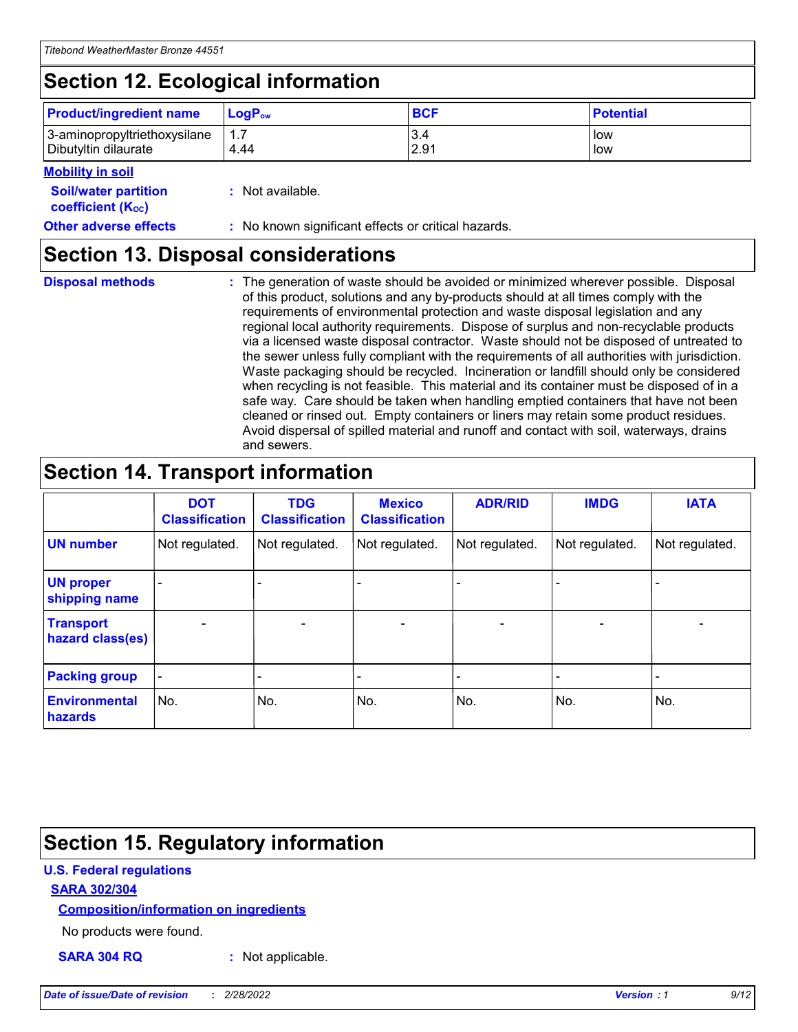## **Section 12. Ecological information**

| <b>Product/ingredient name</b> | $LoaPow$ | <b>BCF</b> | <b>Potential</b> |
|--------------------------------|----------|------------|------------------|
| 3-aminopropyltriethoxysilane   | 1.7      | 3.4        | low              |
| Dibutyltin dilaurate           | 4.44     | 2.91       | low              |

#### **Mobility in soil**

| <b>Soil/water partition</b><br>coefficient (K <sub>oc</sub> ) | : Not available.                                    |
|---------------------------------------------------------------|-----------------------------------------------------|
| <b>Other adverse effects</b>                                  | : No known significant effects or critical hazards. |

### **Section 13. Disposal considerations**

|  | <b>Disposal methods</b> |  |
|--|-------------------------|--|

**Disposal methods** : The generation of waste should be avoided or minimized wherever possible. Disposal of this product, solutions and any by-products should at all times comply with the requirements of environmental protection and waste disposal legislation and any regional local authority requirements. Dispose of surplus and non-recyclable products via a licensed waste disposal contractor. Waste should not be disposed of untreated to the sewer unless fully compliant with the requirements of all authorities with jurisdiction. Waste packaging should be recycled. Incineration or landfill should only be considered when recycling is not feasible. This material and its container must be disposed of in a safe way. Care should be taken when handling emptied containers that have not been cleaned or rinsed out. Empty containers or liners may retain some product residues. Avoid dispersal of spilled material and runoff and contact with soil, waterways, drains and sewers.

## **Section 14. Transport information**

|                                      | <b>DOT</b><br><b>Classification</b> | <b>TDG</b><br><b>Classification</b> | <b>Mexico</b><br><b>Classification</b> | <b>ADR/RID</b>           | <b>IMDG</b>              | <b>IATA</b>    |
|--------------------------------------|-------------------------------------|-------------------------------------|----------------------------------------|--------------------------|--------------------------|----------------|
| <b>UN number</b>                     | Not regulated.                      | Not regulated.                      | Not regulated.                         | Not regulated.           | Not regulated.           | Not regulated. |
| <b>UN proper</b><br>shipping name    | $\blacksquare$                      |                                     |                                        |                          |                          |                |
| <b>Transport</b><br>hazard class(es) | $\blacksquare$                      | $\overline{\phantom{a}}$            | $\overline{\phantom{a}}$               | $\overline{\phantom{a}}$ | $\overline{\phantom{a}}$ | $\blacksquare$ |
| <b>Packing group</b>                 | $\overline{\phantom{a}}$            | -                                   | -                                      | -                        |                          | -              |
| <b>Environmental</b><br>hazards      | No.                                 | No.                                 | No.                                    | No.                      | No.                      | No.            |

## **Section 15. Regulatory information**

#### **U.S. Federal regulations**

#### **SARA 302/304**

#### **Composition/information on ingredients**

No products were found.

**SARA 304 RQ :** Not applicable.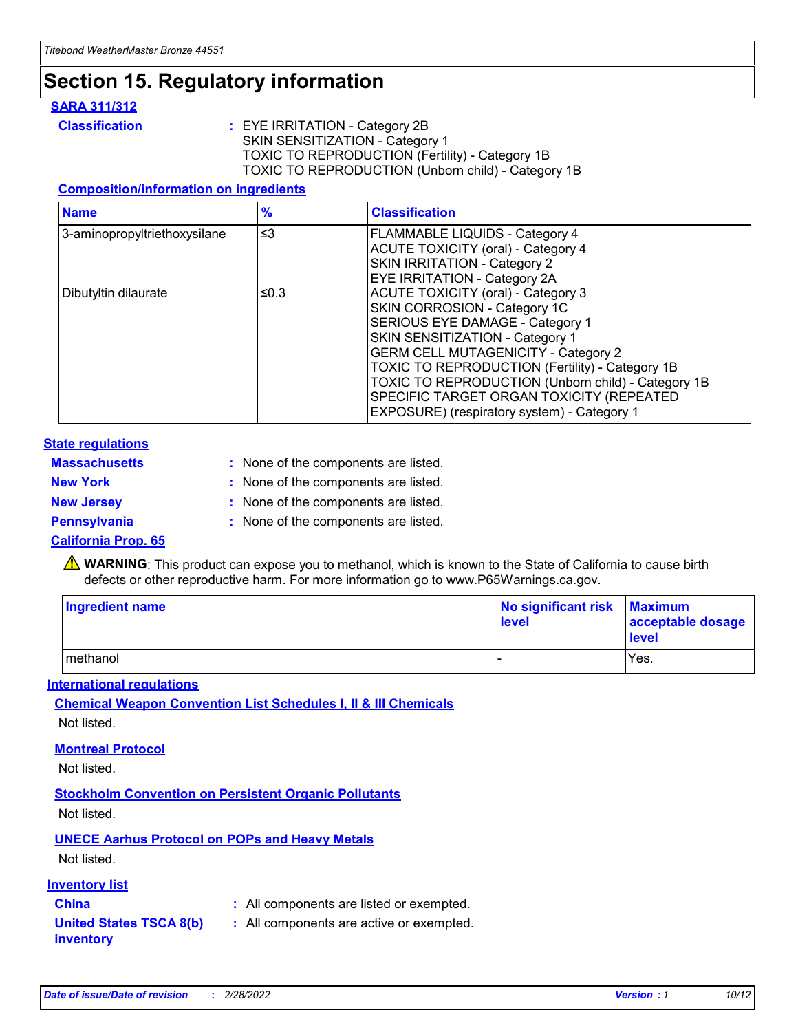## **Section 15. Regulatory information**

#### **SARA 311/312**

**Classification :** EYE IRRITATION - Category 2B SKIN SENSITIZATION - Category 1 TOXIC TO REPRODUCTION (Fertility) - Category 1B TOXIC TO REPRODUCTION (Unborn child) - Category 1B

#### **Composition/information on ingredients**

| <b>Name</b>                  | $\frac{9}{6}$ | <b>Classification</b>                                                                                            |
|------------------------------|---------------|------------------------------------------------------------------------------------------------------------------|
| 3-aminopropyltriethoxysilane | $\leq$ 3      | <b>FLAMMABLE LIQUIDS - Category 4</b><br><b>ACUTE TOXICITY (oral) - Category 4</b>                               |
|                              |               | SKIN IRRITATION - Category 2<br><b>EYE IRRITATION - Category 2A</b>                                              |
| Dibutyltin dilaurate         | ≤0.3          | ACUTE TOXICITY (oral) - Category 3<br>SKIN CORROSION - Category 1C                                               |
|                              |               | SERIOUS EYE DAMAGE - Category 1<br>SKIN SENSITIZATION - Category 1<br><b>GERM CELL MUTAGENICITY - Category 2</b> |
|                              |               | TOXIC TO REPRODUCTION (Fertility) - Category 1B<br>TOXIC TO REPRODUCTION (Unborn child) - Category 1B            |
|                              |               | SPECIFIC TARGET ORGAN TOXICITY (REPEATED<br>EXPOSURE) (respiratory system) - Category 1                          |

#### **State regulations**

| <b>Massachusetts</b> | : None of the components are listed. |
|----------------------|--------------------------------------|
| <b>New York</b>      | : None of the components are listed. |
| <b>New Jersey</b>    | : None of the components are listed. |
| <b>Pennsylvania</b>  | : None of the components are listed. |

#### **California Prop. 65**

**A** WARNING: This product can expose you to methanol, which is known to the State of California to cause birth defects or other reproductive harm. For more information go to www.P65Warnings.ca.gov.

| <b>Ingredient name</b> | No significant risk Maximum<br>level | acceptable dosage<br>level |
|------------------------|--------------------------------------|----------------------------|
| methanol               |                                      | Yes.                       |

#### **International regulations**

**Chemical Weapon Convention List Schedules I, II & III Chemicals** Not listed.

#### **Montreal Protocol**

Not listed.

#### **Stockholm Convention on Persistent Organic Pollutants**

Not listed.

### **UNECE Aarhus Protocol on POPs and Heavy Metals**

Not listed.

#### **Inventory list**

### **China :** All components are listed or exempted.

**United States TSCA 8(b) inventory :** All components are active or exempted.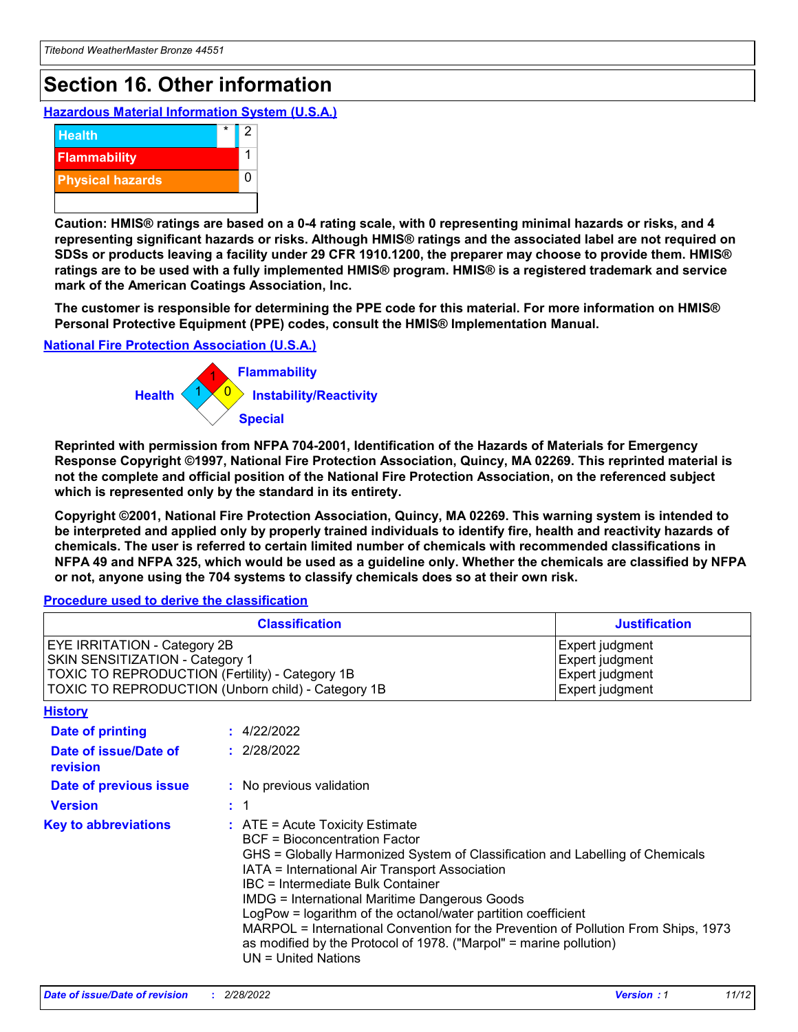## **Section 16. Other information**

**Hazardous Material Information System (U.S.A.)**



**Caution: HMIS® ratings are based on a 0-4 rating scale, with 0 representing minimal hazards or risks, and 4 representing significant hazards or risks. Although HMIS® ratings and the associated label are not required on SDSs or products leaving a facility under 29 CFR 1910.1200, the preparer may choose to provide them. HMIS® ratings are to be used with a fully implemented HMIS® program. HMIS® is a registered trademark and service mark of the American Coatings Association, Inc.**

**The customer is responsible for determining the PPE code for this material. For more information on HMIS® Personal Protective Equipment (PPE) codes, consult the HMIS® Implementation Manual.**

#### **National Fire Protection Association (U.S.A.)**



**Reprinted with permission from NFPA 704-2001, Identification of the Hazards of Materials for Emergency Response Copyright ©1997, National Fire Protection Association, Quincy, MA 02269. This reprinted material is not the complete and official position of the National Fire Protection Association, on the referenced subject which is represented only by the standard in its entirety.**

**Copyright ©2001, National Fire Protection Association, Quincy, MA 02269. This warning system is intended to be interpreted and applied only by properly trained individuals to identify fire, health and reactivity hazards of chemicals. The user is referred to certain limited number of chemicals with recommended classifications in NFPA 49 and NFPA 325, which would be used as a guideline only. Whether the chemicals are classified by NFPA or not, anyone using the 704 systems to classify chemicals does so at their own risk.**

#### **Procedure used to derive the classification**

|                                                                                                                                                                                 |                | <b>Classification</b>                                                                                                                                                                                                                                                                                                                                                                                                                                                                                                                                                           | <b>Justification</b>                                                     |  |
|---------------------------------------------------------------------------------------------------------------------------------------------------------------------------------|----------------|---------------------------------------------------------------------------------------------------------------------------------------------------------------------------------------------------------------------------------------------------------------------------------------------------------------------------------------------------------------------------------------------------------------------------------------------------------------------------------------------------------------------------------------------------------------------------------|--------------------------------------------------------------------------|--|
| <b>EYE IRRITATION - Category 2B</b><br>SKIN SENSITIZATION - Category 1<br>TOXIC TO REPRODUCTION (Fertility) - Category 1B<br>TOXIC TO REPRODUCTION (Unborn child) - Category 1B |                |                                                                                                                                                                                                                                                                                                                                                                                                                                                                                                                                                                                 | Expert judgment<br>Expert judgment<br>Expert judgment<br>Expert judgment |  |
| <b>History</b>                                                                                                                                                                  |                |                                                                                                                                                                                                                                                                                                                                                                                                                                                                                                                                                                                 |                                                                          |  |
| <b>Date of printing</b>                                                                                                                                                         |                | : 4/22/2022                                                                                                                                                                                                                                                                                                                                                                                                                                                                                                                                                                     |                                                                          |  |
| Date of issue/Date of<br>revision                                                                                                                                               |                | : 2/28/2022                                                                                                                                                                                                                                                                                                                                                                                                                                                                                                                                                                     |                                                                          |  |
| Date of previous issue                                                                                                                                                          |                | : No previous validation                                                                                                                                                                                                                                                                                                                                                                                                                                                                                                                                                        |                                                                          |  |
| <b>Version</b>                                                                                                                                                                  | $\therefore$ 1 |                                                                                                                                                                                                                                                                                                                                                                                                                                                                                                                                                                                 |                                                                          |  |
| <b>Key to abbreviations</b>                                                                                                                                                     |                | $\therefore$ ATE = Acute Toxicity Estimate<br><b>BCF</b> = Bioconcentration Factor<br>GHS = Globally Harmonized System of Classification and Labelling of Chemicals<br>IATA = International Air Transport Association<br><b>IBC</b> = Intermediate Bulk Container<br><b>IMDG = International Maritime Dangerous Goods</b><br>LogPow = logarithm of the octanol/water partition coefficient<br>MARPOL = International Convention for the Prevention of Pollution From Ships, 1973<br>as modified by the Protocol of 1978. ("Marpol" = marine pollution)<br>$UN = United Nations$ |                                                                          |  |